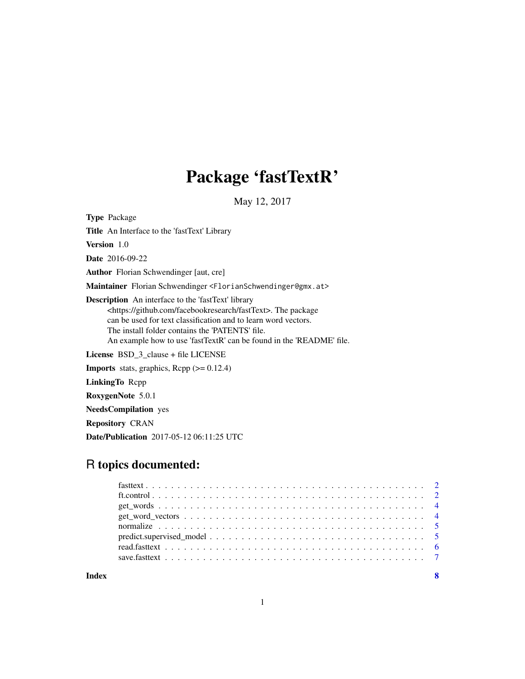# Package 'fastTextR'

May 12, 2017

Type Package Title An Interface to the 'fastText' Library Version 1.0 Date 2016-09-22 Author Florian Schwendinger [aut, cre] Maintainer Florian Schwendinger <FlorianSchwendinger@gmx.at> Description An interface to the 'fastText' library <https://github.com/facebookresearch/fastText>. The package can be used for text classification and to learn word vectors. The install folder contains the 'PATENTS' file. An example how to use 'fastTextR' can be found in the 'README' file. License BSD\_3\_clause + file LICENSE **Imports** stats, graphics, Rcpp  $(>= 0.12.4)$ LinkingTo Rcpp

RoxygenNote 5.0.1

NeedsCompilation yes

Repository CRAN

Date/Publication 2017-05-12 06:11:25 UTC

# R topics documented:

**Index** [8](#page-7-0) **8**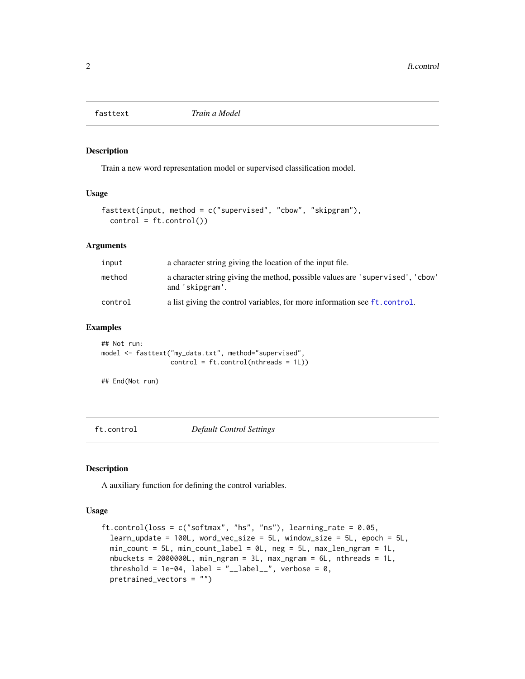<span id="page-1-0"></span>

#### Description

Train a new word representation model or supervised classification model.

#### Usage

```
fasttext(input, method = c("supervised", "cbow", "skipgram"),
 control = ft.contrib()
```
#### Arguments

| input   | a character string giving the location of the input file.                                         |
|---------|---------------------------------------------------------------------------------------------------|
| method  | a character string giving the method, possible values are 'supervised', 'cbow'<br>and 'skipgram'. |
| control | a list giving the control variables, for more information see ft.control.                         |

#### Examples

```
## Not run:
model <- fasttext("my_data.txt", method="supervised",
                  control = ft.contrib(intheads = 1L))
```

```
## End(Not run)
```
<span id="page-1-1"></span>ft.control *Default Control Settings*

#### Description

A auxiliary function for defining the control variables.

#### Usage

```
ft.control(loss = c("softmax", "hs", "ns"), learning_rate = 0.05,
  learn_update = 100L, word_vec_size = 5L, window_size = 5L, epoch = 5L,
 min\_count = 5L, min\_count\_label = 0L, neg = 5L, max\_len\_ngram = 1L,
 nbuckets = 2000000L, min_ngram = 3L, max_ngram = 6L, nthreads = 1L,
  threshold = 1e-04, label = "__label__", verbose = 0,
  pretrained_vectors = "")
```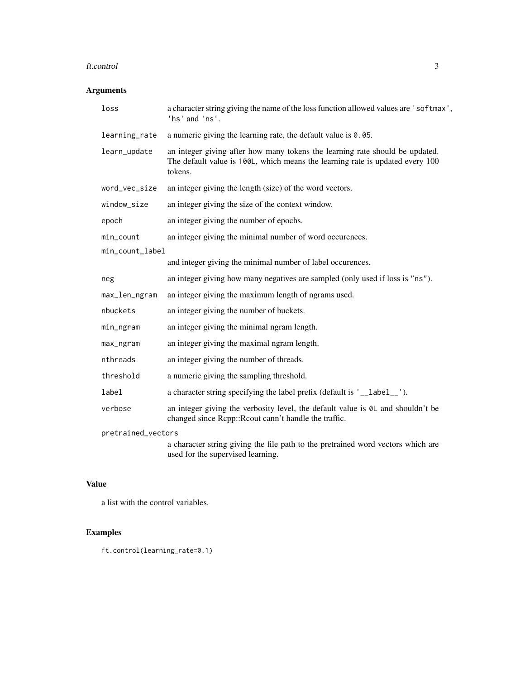#### ft.control 3

#### Arguments

| loss               | a character string giving the name of the loss function allowed values are 'softmax',<br>'hs' and 'ns'.                                                                  |
|--------------------|--------------------------------------------------------------------------------------------------------------------------------------------------------------------------|
| learning_rate      | a numeric giving the learning rate, the default value is $0.05$ .                                                                                                        |
| learn_update       | an integer giving after how many tokens the learning rate should be updated.<br>The default value is 100L, which means the learning rate is updated every 100<br>tokens. |
| word_vec_size      | an integer giving the length (size) of the word vectors.                                                                                                                 |
| window_size        | an integer giving the size of the context window.                                                                                                                        |
| epoch              | an integer giving the number of epochs.                                                                                                                                  |
| min_count          | an integer giving the minimal number of word occurences.                                                                                                                 |
| min_count_label    |                                                                                                                                                                          |
|                    | and integer giving the minimal number of label occurences.                                                                                                               |
| neg                | an integer giving how many negatives are sampled (only used if loss is "ns").                                                                                            |
| max_len_ngram      | an integer giving the maximum length of ngrams used.                                                                                                                     |
| nbuckets           | an integer giving the number of buckets.                                                                                                                                 |
| min_ngram          | an integer giving the minimal ngram length.                                                                                                                              |
| max_ngram          | an integer giving the maximal ngram length.                                                                                                                              |
| nthreads           | an integer giving the number of threads.                                                                                                                                 |
| threshold          | a numeric giving the sampling threshold.                                                                                                                                 |
| label              | a character string specifying the label prefix (default is '__label__').                                                                                                 |
| verbose            | an integer giving the verbosity level, the default value is $\emptyset$ L and shouldn't be<br>changed since Rcpp::Rcout cann't handle the traffic.                       |
| pretrained_vectors |                                                                                                                                                                          |
|                    | a gharacter string giving the file path to the protestined word vectors which are                                                                                        |

a character string giving the file path to the pretrained word vectors which are used for the supervised learning.

#### Value

a list with the control variables.

# Examples

ft.control(learning\_rate=0.1)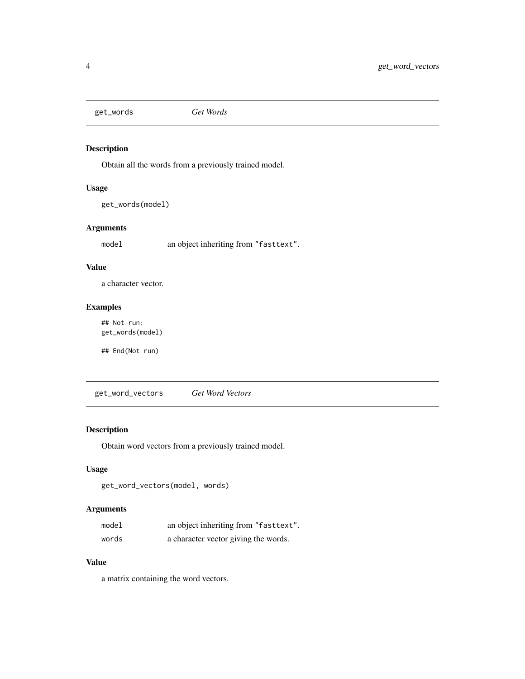<span id="page-3-0"></span>get\_words *Get Words*

#### Description

Obtain all the words from a previously trained model.

#### Usage

```
get_words(model)
```
#### Arguments

model an object inheriting from "fasttext".

#### Value

a character vector.

#### Examples

## Not run: get\_words(model)

## End(Not run)

get\_word\_vectors *Get Word Vectors*

#### Description

Obtain word vectors from a previously trained model.

#### Usage

```
get_word_vectors(model, words)
```
#### Arguments

| model | an object inheriting from "fasttext". |
|-------|---------------------------------------|
| words | a character vector giving the words.  |

#### Value

a matrix containing the word vectors.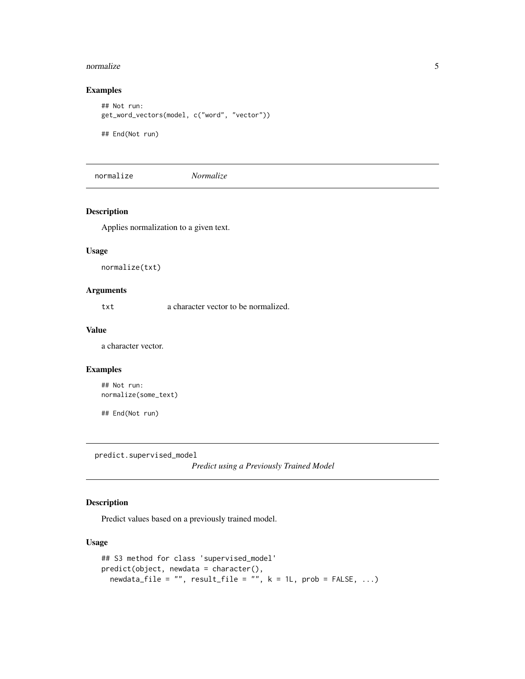#### <span id="page-4-0"></span>normalize 5

#### Examples

```
## Not run:
get_word_vectors(model, c("word", "vector"))
## End(Not run)
```
normalize *Normalize*

#### Description

Applies normalization to a given text.

#### Usage

normalize(txt)

#### Arguments

txt a character vector to be normalized.

#### Value

a character vector.

#### Examples

## Not run: normalize(some\_text)

## End(Not run)

predict.supervised\_model

*Predict using a Previously Trained Model*

#### Description

Predict values based on a previously trained model.

#### Usage

```
## S3 method for class 'supervised_model'
predict(object, newdata = character(),
 newdata_file = "", result_file = "", k = 1L, prob = FALSE, ...)
```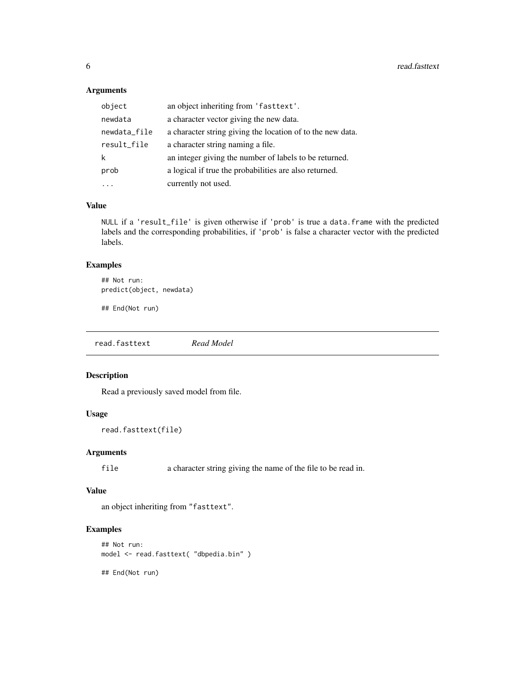#### <span id="page-5-0"></span>Arguments

| object       | an object inheriting from 'fasttext'.                      |
|--------------|------------------------------------------------------------|
| newdata      | a character vector giving the new data.                    |
| newdata_file | a character string giving the location of to the new data. |
| result_file  | a character string naming a file.                          |
| k            | an integer giving the number of labels to be returned.     |
| prob         | a logical if true the probabilities are also returned.     |
|              | currently not used.                                        |

#### Value

NULL if a 'result\_file' is given otherwise if 'prob' is true a data.frame with the predicted labels and the corresponding probabilities, if 'prob' is false a character vector with the predicted labels.

#### Examples

```
## Not run:
predict(object, newdata)
```
## End(Not run)

read.fasttext *Read Model*

#### Description

Read a previously saved model from file.

#### Usage

```
read.fasttext(file)
```
#### Arguments

file a character string giving the name of the file to be read in.

#### Value

an object inheriting from "fasttext".

## Examples

```
## Not run:
model <- read.fasttext( "dbpedia.bin" )
```
## End(Not run)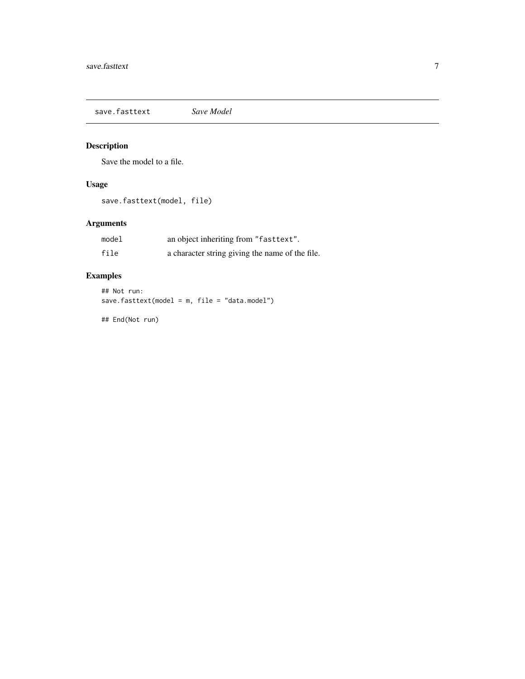<span id="page-6-0"></span>save.fasttext *Save Model*

## Description

Save the model to a file.

#### Usage

save.fasttext(model, file)

# Arguments

| model | an object inheriting from "fasttext".           |
|-------|-------------------------------------------------|
| file  | a character string giving the name of the file. |

# Examples

```
## Not run:
save.fasttext(model = m, file = "data.model")
```
## End(Not run)